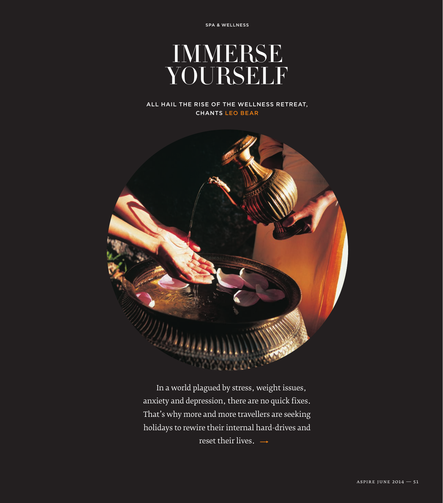

### All hail the rise of the wellness retreat, chants leo bear



In a world plagued by stress, weight issues, anxiety and depression, there are no quick fixes. That's why more and more travellers are seeking holidays to rewire their internal hard-drives and reset their lives.  $\rightarrow$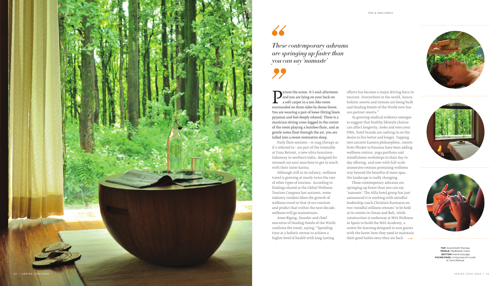effects has become a major driving force in tourism. Everywhere in the world, luxury holistic resorts and retreats are being built and Healing Hotels of the World now has 100 partner resorts."

'namaste'. The Alila hotel group has just announced it is working with mindful leadership coach Christian Kurmann on two 'mindful stillness retreats' to be held at its resorts in Oman and Bali, while construction is underway at SHA Wellness in Spain to build the SHA Academy, a centre for learning designed to arm guests with the know-how they need to maintain their good habits once they are back  $\rightarrow$ 





As growing medical evidence emerges to suggest that healthy lifestyle choices can affect longevity, looks and even your DNA, hotel brands are cashing in on the desire to live better and longer. Tapping into ancient Eastern philosophies, resorts from Phuket to Panama have been adding wellness centres, yoga pavilions and mindfulness workshops to their day-today offering, and now with full-scale immersive retreats promising wellness way beyond the benefits of mere spas, the landscape is really changing. These contemporary ashrams are springing up faster than you can say

**P** and you are lying on your back on<br>a soft carpet in a zen-like room<br>surrounded on three sides by dense forest. and you are lying on your back on a soft carpet in a zen-like room You are wearing a pair of loose-fitting linen pyjamas and feel deeply relaxed. There is a musician sitting cross-legged in the corner of the room playing a bamboo flute, and as gentle notes float through the air, you are lulled into a sweet restorative sleep.



*These contemporary ashrams are springing up faster than you can say 'namaste'*

**TOP:** Sound bath therapy **MIDDLE:** Meditation room **BOTTOM:** Hand massage **FACING PAGE:** Living area of a suite at Vana Retreat

Daily flute sessions – or raag therapy as it's referred to – are part of the timetable at Vana Retreat, a new ultra-luxurious hideaway in northern India, designed for stressed-out soul-searchers to get in touch with their inner karma.

Although still in its infancy, wellness travel is growing at nearly twice the rate of other types of tourism. According to findings shared at the Global Wellness Tourism Congress last autumn, some industry insiders liken the growth of wellness travel to that of eco-tourism and predict that within the next decade, wellness will go mainstream.

Anne Biging, founder and chief executive of Healing Hotels of the World, confirms the trend, saying: "Spending time at a holistic retreat to achieve a higher level of health with long-lasting



# 66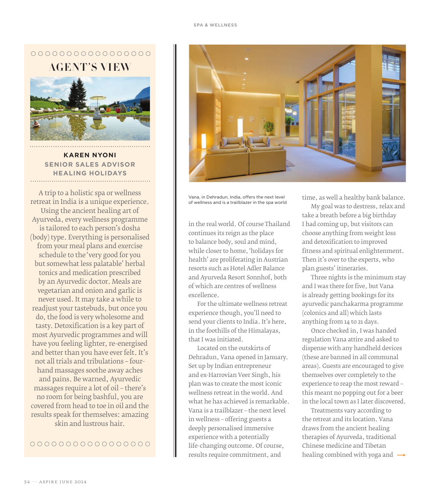# $0000000000000000000$ **AGENT 'S VIEW**



**Karen Nyoni SENIOR SALES ADVISOR Healing Holidays**

A trip to a holistic spa or wellness retreat in India is a unique experience. Using the ancient healing art of Ayurveda, every wellness programme is tailored to each person's dosha (body) type. Everything is personalised from your meal plans and exercise schedule to the 'very good for you but somewhat less palatable' herbal tonics and medication prescribed by an Ayurvedic doctor. Meals are vegetarian and onion and garlic is never used. It may take a while to readjust your tastebuds, but once you do, the food is very wholesome and tasty. Detoxification is a key part of most Ayurvedic programmes and will have you feeling lighter, re-energised and better than you have ever felt. It's not all trials and tribulations – fourhand massages soothe away aches and pains. Be warned, Ayurvedic massages require a lot of oil – there's no room for being bashful, you are covered from head to toe in oil and the results speak for themselves: amazing skin and lustrous hair.

## 0000000000000000



Vana, in Dehradun, India, offers the next level of wellness and is a trailblazer in the spa world

in the real world. Of course Thailand continues its reign as the place to balance body, soul and mind, while closer to home, 'holidays for health' are proliferating in Austrian resorts such as Hotel Adler Balance and Ayurveda Resort Sonnhof, both of which are centres of wellness excellence.

For the ultimate wellness retreat experience though, you'll need to send your clients to India. It's here, in the foothills of the Himalayas, that I was initiated.

Located on the outskirts of Dehradun, Vana opened in January. Set up by Indian entrepreneur and ex-Harrovian Veer Singh, his plan was to create the most iconic wellness retreat in the world. And what he has achieved is remarkable. Vana is a trailblazer – the next level in wellness – offering guests a deeply personalised immersive experience with a potentially life-changing outcome. Of course, results require commitment, and

time, as well a healthy bank balance.

My goal was to destress, relax and take a breath before a big birthday I had coming up, but visitors can choose anything from weight loss and detoxification to improved fitness and spiritual enlightenment. Then it's over to the experts, who plan guests' itineraries.

Three nights is the minimum stay and I was there for five, but Vana is already getting bookings for its ayurvedic panchakarma programme (colonics and all) which lasts anything from 14 to 21 days.

Once checked in, I was handed regulation Vana attire and asked to dispense with any handheld devices (these are banned in all communal areas). Guests are encouraged to give themselves over completely to the experience to reap the most reward – this meant no popping out for a beer in the local town as I later discovered.

Treatments vary according to the retreat and its location. Vana draws from the ancient healing therapies of Ayurveda, traditional Chinese medicine and Tibetan healing combined with yoga and  $\rightarrow$